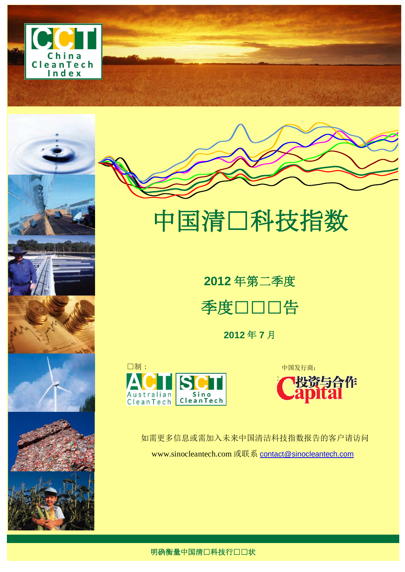









# 中国清口科技指数

**2012** 年第二季度 季度口口口告

**2012** 年 **7** 月







如需更多信息或需加入未来中国清洁科技指数报告的客户请访问 www.sinocleantech.com 或联系 [contact@sinocleantech.com](mailto:contact@sinocleantech.com)

明确衡量中国清口科技行口口状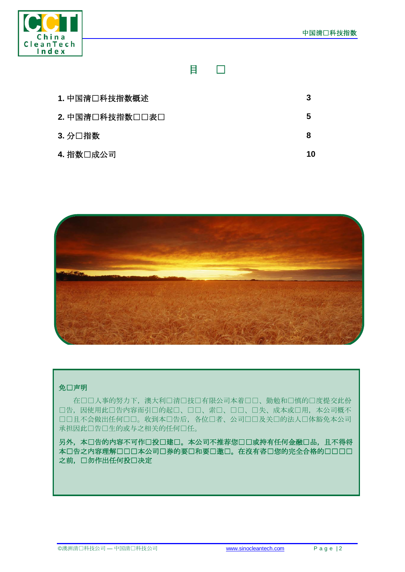

目录

| 1. 中国清口科技指数概述   |    |
|-----------------|----|
| 2. 中国清口科技指数口口表口 | 5  |
| 3. 分口指数         | 8  |
| 4. 指数口成公司       | 10 |



#### 免口声明

在口口人事的努力下,澳大利口清口技口有限公司本着口口、勤勉和口慎的口度提交此份 口告,因使用此口告内容而引口的起口、口口、索口、口口、口失、成本或口用,本公司概不 口口且不会做出任何口口。收到本口告后,各位口者、公司口口及关口的法人口体豁免本公司 承担因此口告口生的或与之相关的任何口任。

另外,本口告的内容不可作口投口建口。本公司不推荐您口口或持有任何金融口品,且不得将 本口告之内容理解口口口本公司口券的要口和要口邀口。在沒有咨口您的完全合格的口口口口 之前,口勿作出任何投口决定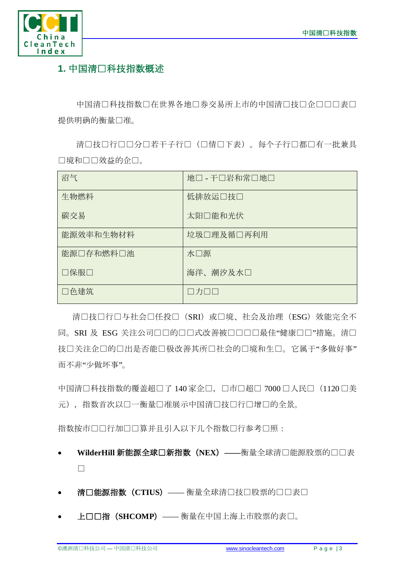

# **1.** 中国清洁科技指数概述

中国清口科技指数口在世界各地口券交易所上市的中国清口技口企口口口表口 提供明确的衡量口准。

清口技口行口口若干子行口(口情口下表)。每个子行口都口有一批兼具 口境和口口效益的企口。

| 沼气        | 地口 - 干口岩和常口地口 |
|-----------|---------------|
| 生物燃料      | 低排放运□技□       |
| 碳交易       | 太阳口能和光伏       |
| 能源效率和生物材料 | 垃圾□理及循□再利用    |
| 能源口存和燃料口池 | 水□源           |
| □保服□      | 海洋、潮汐及水口      |
| □色建筑      | $\Box$ カロロ    |

清口技口行口与社会口任投口(SRI)或口境、社会及治理(ESG)效能完全不 同。SRI 及 ESG 关注公司口口的口口式改善被口口口口最佳"健康口口"措施。清口 技口关注企口的口出是否能口极改善其所口社会的口境和生口。它属于"多做好事" 而不非"少做坏事"。

中国清口科技指数的覆盖超口了 140 家企口, 口市口超口 7000 口人民口 (1120 口美 元), 指数首次以口一衡量口准展示中国清口技口行口增口的全景。

指数按市口口行加口口算并且引入以下几个指数口行参考口照:

- **WilderHill** 新能源全球创新指数(**NEX**)**——**衡量全球清洁能源股票的业绩表 现
- **清□能源指数 (CTIUS) ——** 衡量全球清□技□股票的□□表□
- 上证综指(**SHCOMP**)—— 衡量在中国上海上市股票的表现。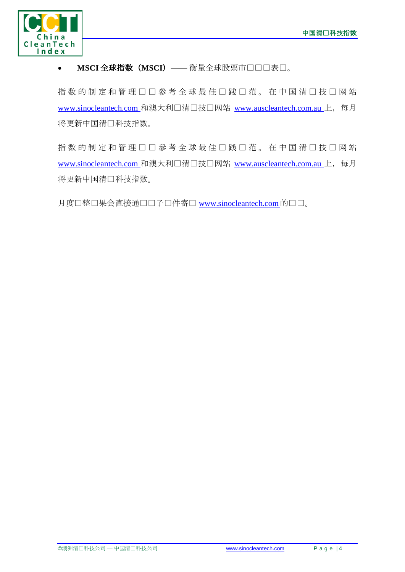

## • MSCI 全球指数 (MSCI) —— 衡量全球股票市口口口表口。

指数的制定和管理口口參考全球最佳口践口范。在中国清口技口网站 [www.sinocleantech.com](http://www.sinocleantech.com/) 和澳大利口清口技口网站 [www.auscleantech.com.au](http://www.auscleantech.com.au/) 上, 每月 将更新中国清口科技指数。

指数的制定和管理口口參考全球最佳口践口范。在中国清口技口网站 [www.sinocleantech.com](http://www.sinocleantech.com/) 和澳大利口清口技口网站 [www.auscleantech.com.au](http://www.auscleantech.com.au/) 上, 每月 将更新中国清口科技指数。

月度口整口果会直接通口口子口件寄口 [www.sinocleantech.com](http://www.sinocleantech.com/) 的口口。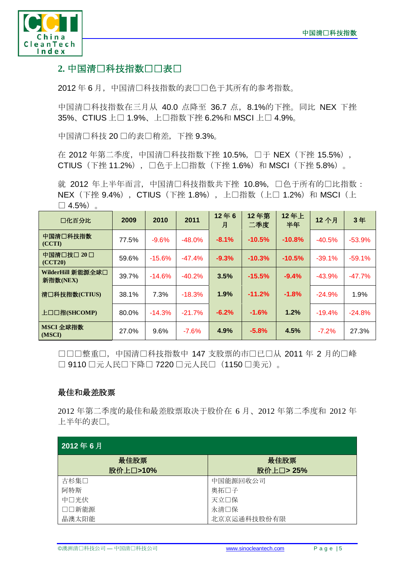

## 2. 中国清口科技指数口口表口

2012年6月,中国清口科技指数的表口口色于其所有的参考指数。

中国清□科技指数在三月从 40.0 点降至 36.7 点, 8.1%的下挫。同比 NEX 下挫 35%、CTIUS 上□ 1.9%、上□指数下挫 6.2%和 MSCI 上□ 4.9%。

中国清□科技 20 □的表□稍差,下挫 9.3%。

在 2012 年第二季度, 中国清口科技指数下挫 10.5%, 口于 NEX (下挫 15.5%), CTIUS (下挫 11.2%), □色于上□指数 (下挫 1.6%) 和 MSCI (下挫 5.8%)。

就 2012 年上半年而言, 中国清口科技指数共下挫 10.8%, 口色于所有的口比指数: NEX (下挫 9.4%), CTIUS (下挫 1.8%), 上□指数 (上□ 1.2%) 和 MSCI (上  $\Box$  4.5%).

| 口化百分比                         | 2009  | 2010     | 2011     | 12年6<br>月 | 12年第<br>二季度 | 12年上<br>半年 | 12个月     | 3年       |
|-------------------------------|-------|----------|----------|-----------|-------------|------------|----------|----------|
| 中国清口科技指数<br>(CCTI)            | 77.5% | $-9.6%$  | $-48.0%$ | $-8.1%$   | $-10.5%$    | $-10.8%$   | $-40.5%$ | $-53.9%$ |
| 中国清□技□ 20 □<br>(CCT20)        | 59.6% | $-15.6%$ | $-47.4%$ | $-9.3%$   | $-10.3%$    | $-10.5%$   | $-39.1%$ | $-59.1%$ |
| WilderHill 新能源全球口<br>新指数(NEX) | 39.7% | $-14.6%$ | $-40.2%$ | 3.5%      | $-15.5%$    | $-9.4%$    | $-43.9%$ | $-47.7%$ |
| 清口科技指数(CTIUS)                 | 38.1% | 7.3%     | $-18.3%$ | 1.9%      | $-11.2%$    | $-1.8%$    | $-24.9%$ | 1.9%     |
| 上口口指(SHCOMP)                  | 80.0% | $-14.3%$ | $-21.7%$ | $-6.2%$   | $-1.6%$     | 1.2%       | $-19.4%$ | $-24.8%$ |
| MSCI 全球指数<br>(MSCI)           | 27.0% | 9.6%     | $-7.6%$  | 4.9%      | $-5.8%$     | 4.5%       | $-7.2%$  | 27.3%    |

口口口整重口,中国清口科技指数中 147 支股票的市口已口从 2011 年 2 月的口峰 □ 9110 口元人民口下降□ 7220 口元人民口 (1150 口美元)。

#### 最佳和最差股票

2012 年第二季度的最佳和最差股票取决于股价在 6 月、2012 年第二季度和 2012 年 上半年的表现。

| 2012年6月  |             |  |  |  |  |
|----------|-------------|--|--|--|--|
| 最佳股票     | 最佳股票        |  |  |  |  |
| 股价上口>10% | 股价上口>25%    |  |  |  |  |
| 古杉集口     | 中国能源回收公司    |  |  |  |  |
| 阿特斯      | 奥拓口子        |  |  |  |  |
| 中口光伏     | 天立口保        |  |  |  |  |
| □□新能源    | 永清口保        |  |  |  |  |
| 晶澳太阳能    | 北京京运通科技股份有限 |  |  |  |  |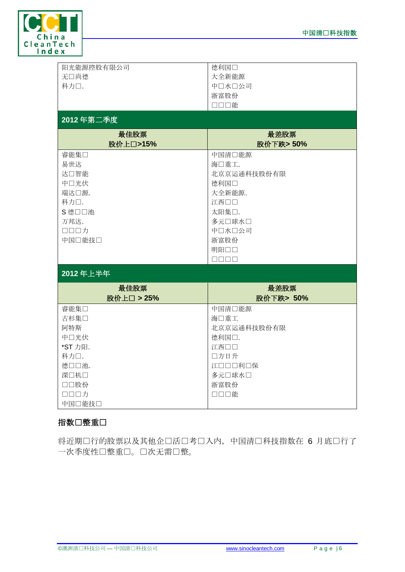

| 阳光能源控股有限公司 | 德利国口                  |
|------------|-----------------------|
| 无口尚德       | 大全新能源                 |
|            |                       |
| 科力口.       | 中口水口公司                |
|            | 浙富股份                  |
|            | □□□能                  |
|            |                       |
| 2012年第二季度  |                       |
| 最佳股票       | 最差股票                  |
| 股价上口>15%   | 股价下跌>50%              |
|            |                       |
| 睿能集口       | 中国清口能源                |
| 易世达        | 海口重工.                 |
| 达口智能       | 北京京运通科技股份有限           |
| 中口光伏       | 德利国口                  |
|            |                       |
| 瑞达口源.      | 大全新能源.                |
| 科力口.       | 江西口口                  |
| S 德口口池     | 太阳集口.                 |
| 万邦达.       | 多元口球水口                |
| ロロロカ       | 中口水口公司                |
| 中国口能技口     | 浙富股份                  |
|            | 明阳口口                  |
|            |                       |
|            | $\Box \Box \Box \Box$ |
| 2012年上半年   |                       |
| 最佳股票       | 最差股票                  |
| 股价上口 > 25% | 股价下跌> 50%             |
| 睿能集□       | 中国清口能源                |
| 古杉集口       | 海口重工                  |
| 阿特斯        | 北京京运通科技股份有限           |
| 中口光伏       | 德利国口.                 |
| *ST 力阳.    | 江西口口                  |
| 科力口.       | 口方日升                  |
| 德口口池.      | 江口口口利口保               |
| 深口机口       | 多元口球水口                |
| □□股份       | 浙富股份                  |
| 口口口力       | □□□能                  |
| 中国口能技口     |                       |

### 指数口整重口

将近期口行的股票以及其他企口活口考口入内,中国清口科技指数在 6 月底口行了 一次季度性调整重组。这次无需调整。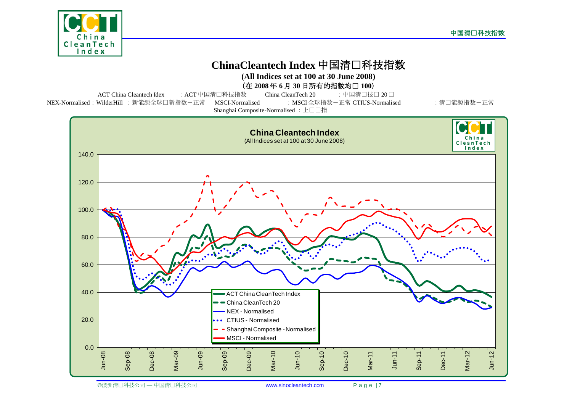





©澳洲清口科技公司 — 中国清口科技公司 **[www.sinocleantech.com](http://www.sinocleantech.com/) Page | 7**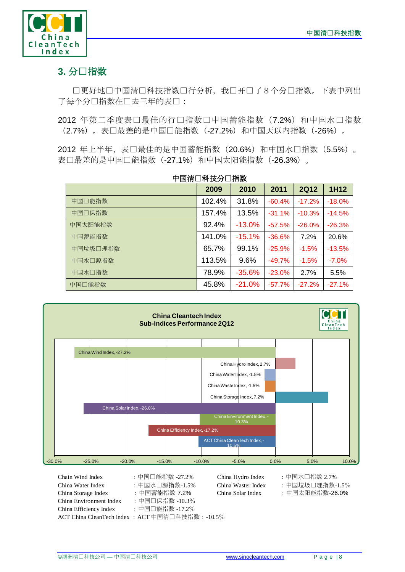

# 3. 分口指数

口更好地口中国清口科技指数口行分析,我口开口了8个分口指数。下表中列出 了每个分口指数在口去三年的表口:

2012 年第二季度表口最佳的行口指数口中国蓄能指数 (7.2%) 和中国水口指数 (2.7%)。表现最差的是中国风能指数(-27.2%)和中国天以内指数(-26%)。

2012 年上半年,表口最佳的是中国蓄能指数(20.6%)和中国水口指数(5.5%)。 表口最差的是中国口能指数(-27.1%)和中国太阳能指数(-26.3%)。

中国清洁科技分项指数

|          | 2009   | 2010     | 2011     | <b>2Q12</b> | 1H12     |
|----------|--------|----------|----------|-------------|----------|
| 中国□能指数   | 102.4% | 31.8%    | $-60.4%$ | $-17.2%$    | $-18.0%$ |
| 中国口保指数   | 157.4% | 13.5%    | $-31.1%$ | $-10.3%$    | $-14.5%$ |
| 中国太阳能指数  | 92.4%  | $-13.0%$ | $-57.5%$ | $-26.0%$    | $-26.3%$ |
| 中国蓄能指数   | 141.0% | $-15.1%$ | $-36.6%$ | 7.2%        | 20.6%    |
| 中国垃圾□理指数 | 65.7%  | 99.1%    | $-25.9%$ | $-1.5%$     | $-13.5%$ |
| 中国水口源指数  | 113.5% | 9.6%     | $-49.7%$ | $-1.5%$     | $-7.0\%$ |
| 中国水□指数   | 78.9%  | $-35.6%$ | $-23.0%$ | 2.7%        | 5.5%     |
| 中国□能指数   | 45.8%  | $-21.0%$ | $-57.7%$ | $-27.2%$    | $-27.1%$ |



| Chain Wind Index                               | : 中国□能指数 -27.2% | Chi |
|------------------------------------------------|-----------------|-----|
| China Water Index                              | :中国水□源指数-1.5%   | Chi |
| China Storage Index                            | : 中国蓄能指数 7.2%   | Chi |
| China Environment Index                        | :中国□保指数 -10.3%  |     |
| China Efficiency Index                         | : 中国口能指数 -17.2% |     |
| ACT China CleanTech Index: ACT 中国清口科技指数:-10.5% |                 |     |

China Waster Index : 中国垃圾口理指数-1.5% China Solar Index :中国太阳能指数-26.0%

 $China Hydro Index$  :中国水口指数 2.7%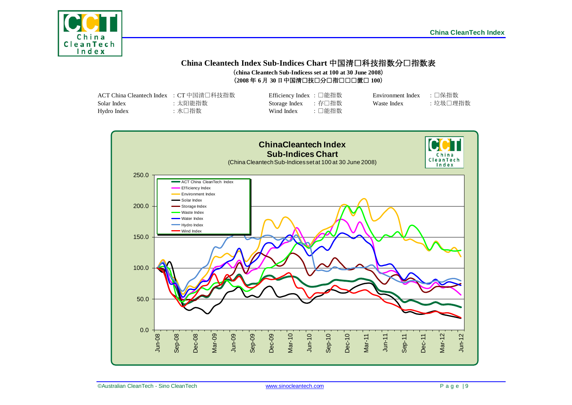

#### **China Cleantech Index Sub-Indices Chart** 中国清洁科技指数分项指数表 (**china Cleantech Sub-Indicess set at 100 at 30 June 2008**)  $(2008 \n466 \n467 \n30 \n41 \n41 \n42 \n430 \n45 \n461 \n47 \n481 \n491 \n400 \n411 \n42 \n431 \n441 \n451 \n461 \n471 \n481 \n491 \n400 \n411 \n421 \n432 \n443 \n454 \n464 \n471 \n481 \n491 \n400 \n411 \n421 \n432 \n443 \n454 \n464 \n471 \n481 \n491 \n400 \n401 \n$

| ACT China Cleantech Index : CT 中国清口科技指数 |        | Efficiency Index : □能指数 |       | Environment Index → □保指数 |         |
|-----------------------------------------|--------|-------------------------|-------|--------------------------|---------|
| Solar Index                             | :太阳能指数 | Storage Index : 存口指数    |       | Waste Index              | :垃圾□理指数 |
| Hydro Index                             | :水口指数  | Wind Index              | :□能指数 |                          |         |